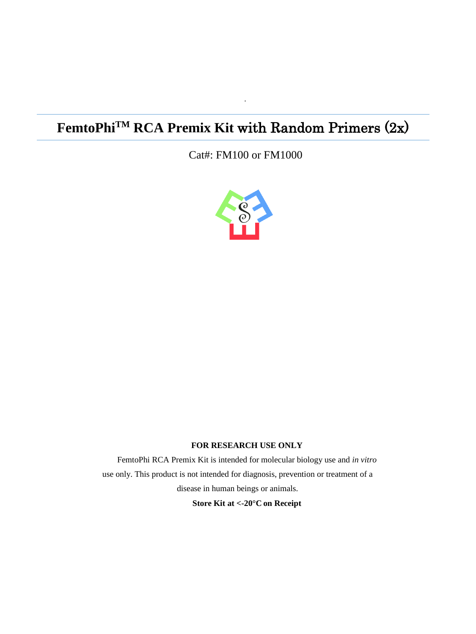# **FemtoPhiTM RCA Premix Kit** with Random Primers (2x)

Cat#: FM100 or FM1000

·



#### **FOR RESEARCH USE ONLY**

FemtoPhi RCA Premix Kit is intended for molecular biology use and *in vitro*  use only. This product is not intended for diagnosis, prevention or treatment of a disease in human beings or animals.

**Store Kit at <-20°C on Receipt**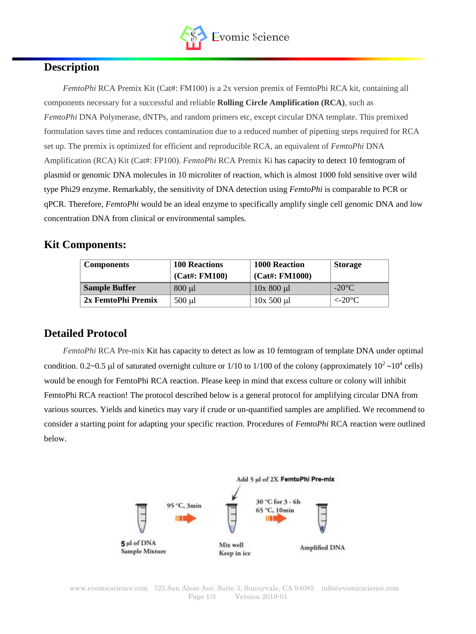

## **Description**

*FemtoPhi* RCA Premix Kit (Cat#: FM100) is a 2x version premix of FemtoPhi RCA kit, containing all components necessary for a successful and reliable **Rolling Circle Amplification (RCA)**, such as *FemtoPhi* DNA Polymerase, dNTPs, and random primers etc, except circular DNA template. This premixed formulation saves time and reduces contamination due to a reduced number of pipetting steps required for RCA set up. The premix is optimized for efficient and reproducible RCA, an equivalent of *FemtoPhi* DNA Amplification (RCA) Kit (Cat#: FP100). *FemtoPhi* RCA Premix Ki has capacity to detect 10 femtogram of plasmid or genomic DNA molecules in 10 microliter of reaction, which is almost 1000 fold sensitive over wild type Phi29 enzyme. Remarkably, the sensitivity of DNA detection using *FemtoPhi* is comparable to PCR or qPCR. Therefore, *FemtoPhi* would be an ideal enzyme to specifically amplify single cell genomic DNA and low concentration DNA from clinical or environmental samples.

## **Kit Components:**

| <b>Components</b>    | <b>100 Reactions</b><br>$(Cat\#: FM100)$ | <b>1000 Reaction</b><br>$(Cat\#: FM1000)$ | <b>Storage</b>   |
|----------------------|------------------------------------------|-------------------------------------------|------------------|
| <b>Sample Buffer</b> | $800 \mu l$                              | $10x800 \mu l$                            | $-20^{\circ}$ C  |
| 2x FemtoPhi Premix   | $500 \mu l$                              | $10x$ 500 $\mu$ l                         | $\langle -20$ °C |

## **Detailed Protocol**

*FemtoPhi* RCA Pre-mix Kit has capacity to detect as low as 10 femtogram of template DNA under optimal condition. 0.2~0.5 µl of saturated overnight culture or  $1/10$  to  $1/100$  of the colony (approximately  $10^2 \sim 10^4$  cells) would be enough for FemtoPhi RCA reaction. Please keep in mind that excess culture or colony will inhibit FemtoPhi RCA reaction! The protocol described below is a general protocol for amplifying circular DNA from various sources. Yields and kinetics may vary if crude or un-quantified samples are amplified. We recommend to consider a starting point for adapting your specific reaction. Procedures of *FemtoPhi* RCA reaction were outlined below.

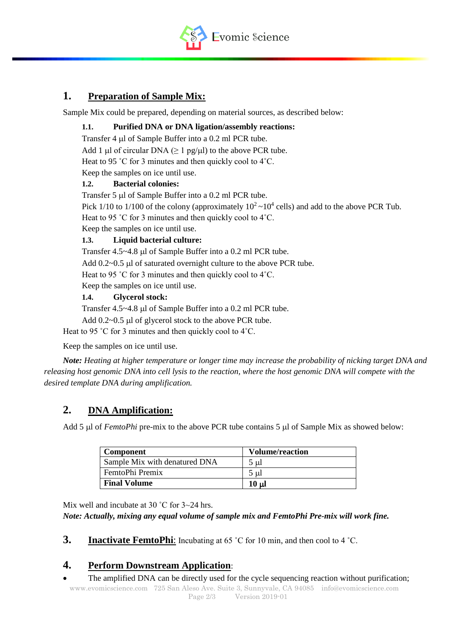

## **1. Preparation of Sample Mix:**

Sample Mix could be prepared, depending on material sources, as described below:

#### **1.1. Purified DNA or DNA ligation/assembly reactions:**

Transfer 4  $\mu$ l of Sample Buffer into a 0.2 ml PCR tube.

Add 1 µl of circular DNA ( $\geq 1$  pg/ $\mu$ l) to the above PCR tube.

Heat to 95 °C for 3 minutes and then quickly cool to 4°C.

Keep the samples on ice until use.

#### **1.2. Bacterial colonies:**

Transfer  $5 \mu$ l of Sample Buffer into a 0.2 ml PCR tube.

Pick 1/10 to 1/100 of the colony (approximately  $10^2 \sim 10^4$  cells) and add to the above PCR Tub.

Heat to 95 ˚C for 3 minutes and then quickly cool to 4˚C.

Keep the samples on ice until use.

#### **1.3. Liquid bacterial culture:**

Transfer 4.5~4.8 µl of Sample Buffer into a 0.2 ml PCR tube.

Add  $0.2~0.5$  µl of saturated overnight culture to the above PCR tube.

Heat to 95 ˚C for 3 minutes and then quickly cool to 4˚C.

Keep the samples on ice until use.

#### **1.4. Glycerol stock:**

Transfer 4.5~4.8 µl of Sample Buffer into a 0.2 ml PCR tube.

Add  $0.2~0.5$  µ of glycerol stock to the above PCR tube.

Heat to 95 °C for 3 minutes and then quickly cool to 4°C.

Keep the samples on ice until use.

*Note: Heating at higher temperature or longer time may increase the probability of nicking target DNA and releasing host genomic DNA into cell lysis to the reaction, where the host genomic DNA will compete with the desired template DNA during amplification.*

## **2. DNA Amplification:**

Add 5 µl of *FemtoPhi* pre-mix to the above PCR tube contains 5 µl of Sample Mix as showed below:

| <b>Component</b>              | <b>Volume/reaction</b> |  |
|-------------------------------|------------------------|--|
| Sample Mix with denatured DNA | $5 \mu$                |  |
| FemtoPhi Premix               | 5 ul                   |  |
| <b>Final Volume</b>           | $10 \mu$               |  |

Mix well and incubate at 30 °C for 3~24 hrs.

*Note: Actually, mixing any equal volume of sample mix and FemtoPhi Pre-mix will work fine.* 

**3. Inactivate FemtoPhi**: Incubating at 65 °C for 10 min, and then cool to 4 °C.

## **4. Perform Downstream Application**:

The amplified DNA can be directly used for the cycle sequencing reaction without purification;